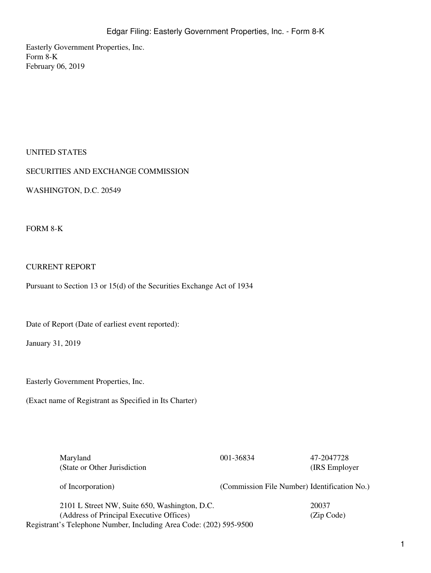Easterly Government Properties, Inc. Form 8-K February 06, 2019

#### UNITED STATES

SECURITIES AND EXCHANGE COMMISSION

WASHINGTON, D.C. 20549

FORM 8-K

### CURRENT REPORT

Pursuant to Section 13 or 15(d) of the Securities Exchange Act of 1934

Date of Report (Date of earliest event reported):

January 31, 2019

Easterly Government Properties, Inc.

(Exact name of Registrant as Specified in Its Charter)

Maryland 001-36834 47-2047728 (State or Other Jurisdiction

(IRS Employer

of Incorporation) (Commission File Number) Identification No.)

2101 L Street NW, Suite 650, Washington, D.C. 20037 (Address of Principal Executive Offices) (Zip Code) Registrant's Telephone Number, Including Area Code: (202) 595-9500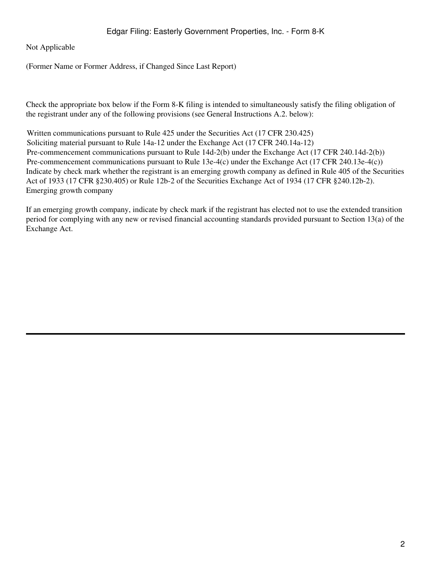Not Applicable

(Former Name or Former Address, if Changed Since Last Report)

Check the appropriate box below if the Form 8-K filing is intended to simultaneously satisfy the filing obligation of the registrant under any of the following provisions (see General Instructions A.2. below):

Written communications pursuant to Rule 425 under the Securities Act (17 CFR 230.425) Soliciting material pursuant to Rule 14a-12 under the Exchange Act (17 CFR 240.14a-12) Pre-commencement communications pursuant to Rule 14d-2(b) under the Exchange Act (17 CFR 240.14d-2(b)) Pre-commencement communications pursuant to Rule 13e-4(c) under the Exchange Act (17 CFR 240.13e-4(c)) Indicate by check mark whether the registrant is an emerging growth company as defined in Rule 405 of the Securities Act of 1933 (17 CFR §230.405) or Rule 12b-2 of the Securities Exchange Act of 1934 (17 CFR §240.12b-2). Emerging growth company

If an emerging growth company, indicate by check mark if the registrant has elected not to use the extended transition period for complying with any new or revised financial accounting standards provided pursuant to Section 13(a) of the Exchange Act.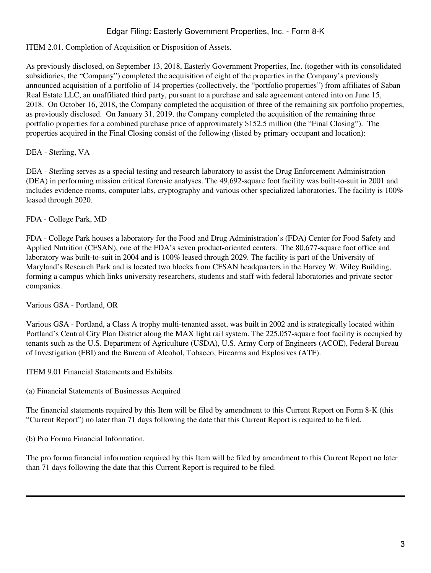## Edgar Filing: Easterly Government Properties, Inc. - Form 8-K

# ITEM 2.01. Completion of Acquisition or Disposition of Assets.

As previously disclosed, on September 13, 2018, Easterly Government Properties, Inc. (together with its consolidated subsidiaries, the "Company") completed the acquisition of eight of the properties in the Company's previously announced acquisition of a portfolio of 14 properties (collectively, the "portfolio properties") from affiliates of Saban Real Estate LLC, an unaffiliated third party, pursuant to a purchase and sale agreement entered into on June 15, 2018. On October 16, 2018, the Company completed the acquisition of three of the remaining six portfolio properties, as previously disclosed. On January 31, 2019, the Company completed the acquisition of the remaining three portfolio properties for a combined purchase price of approximately \$152.5 million (the "Final Closing"). The properties acquired in the Final Closing consist of the following (listed by primary occupant and location):

DEA - Sterling, VA

DEA - Sterling serves as a special testing and research laboratory to assist the Drug Enforcement Administration (DEA) in performing mission critical forensic analyses. The 49,692-square foot facility was built-to-suit in 2001 and includes evidence rooms, computer labs, cryptography and various other specialized laboratories. The facility is 100% leased through 2020.

FDA - College Park, MD

FDA - College Park houses a laboratory for the Food and Drug Administration's (FDA) Center for Food Safety and Applied Nutrition (CFSAN), one of the FDA's seven product-oriented centers. The 80,677-square foot office and laboratory was built-to-suit in 2004 and is 100% leased through 2029. The facility is part of the University of Maryland's Research Park and is located two blocks from CFSAN headquarters in the Harvey W. Wiley Building, forming a campus which links university researchers, students and staff with federal laboratories and private sector companies.

Various GSA - Portland, OR

Various GSA - Portland, a Class A trophy multi-tenanted asset, was built in 2002 and is strategically located within Portland's Central City Plan District along the MAX light rail system. The 225,057-square foot facility is occupied by tenants such as the U.S. Department of Agriculture (USDA), U.S. Army Corp of Engineers (ACOE), Federal Bureau of Investigation (FBI) and the Bureau of Alcohol, Tobacco, Firearms and Explosives (ATF).

ITEM 9.01 Financial Statements and Exhibits.

(a) Financial Statements of Businesses Acquired

The financial statements required by this Item will be filed by amendment to this Current Report on Form 8-K (this "Current Report") no later than 71 days following the date that this Current Report is required to be filed.

(b) Pro Forma Financial Information.

The pro forma financial information required by this Item will be filed by amendment to this Current Report no later than 71 days following the date that this Current Report is required to be filed.